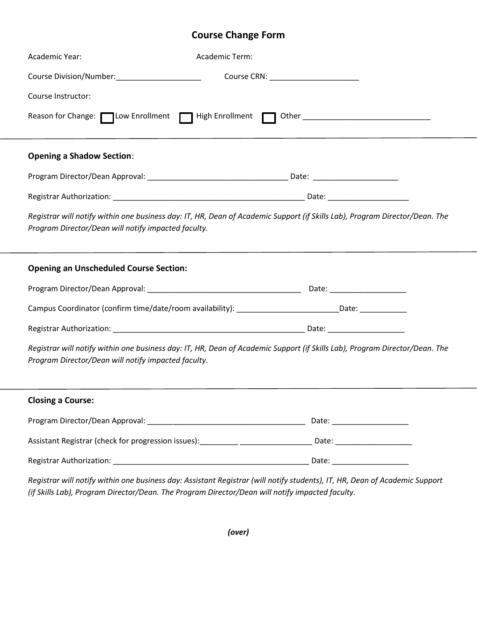## **Course Change Form**

| Academic Year:                                                                                                                                                                     | Academic Term:                                                                                                 |  |
|------------------------------------------------------------------------------------------------------------------------------------------------------------------------------------|----------------------------------------------------------------------------------------------------------------|--|
| Course Division/Number:_______________________                                                                                                                                     |                                                                                                                |  |
| Course Instructor:                                                                                                                                                                 |                                                                                                                |  |
| Reason for Change: Cow Enrollment   High Enrollment   Other ____________________                                                                                                   |                                                                                                                |  |
| <b>Opening a Shadow Section:</b>                                                                                                                                                   |                                                                                                                |  |
|                                                                                                                                                                                    |                                                                                                                |  |
|                                                                                                                                                                                    |                                                                                                                |  |
| Registrar will notify within one business day: IT, HR, Dean of Academic Support (if Skills Lab), Program Director/Dean. The<br>Program Director/Dean will notify impacted faculty. |                                                                                                                |  |
| <b>Opening an Unscheduled Course Section:</b>                                                                                                                                      |                                                                                                                |  |
|                                                                                                                                                                                    |                                                                                                                |  |
|                                                                                                                                                                                    | Campus Coordinator (confirm time/date/room availability): __________________________Date: ________________     |  |
|                                                                                                                                                                                    |                                                                                                                |  |
| Registrar will notify within one business day: IT, HR, Dean of Academic Support (if Skills Lab), Program Director/Dean. The<br>Program Director/Dean will notify impacted faculty. |                                                                                                                |  |
| <b>Closing a Course:</b>                                                                                                                                                           |                                                                                                                |  |
|                                                                                                                                                                                    |                                                                                                                |  |
|                                                                                                                                                                                    | Assistant Registrar (check for progression issues): _________ _____________________Date: _____________________ |  |
|                                                                                                                                                                                    |                                                                                                                |  |

*Registrar will notify within one business day: Assistant Registrar (will notify students), IT, HR, Dean of Academic Support (if Skills Lab), Program Director/Dean. The Program Director/Dean will notify impacted faculty.*